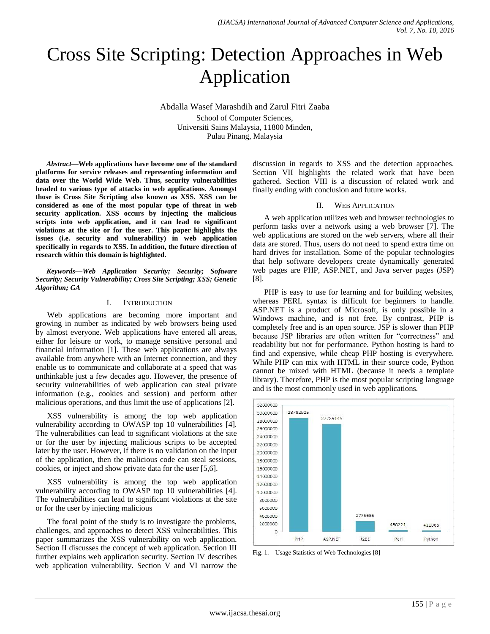# Cross Site Scripting: Detection Approaches in Web Application

Abdalla Wasef Marashdih and Zarul Fitri Zaaba School of Computer Sciences, Universiti Sains Malaysia, 11800 Minden, Pulau Pinang, Malaysia

*Abstract***—Web applications have become one of the standard platforms for service releases and representing information and data over the World Wide Web. Thus, security vulnerabilities headed to various type of attacks in web applications. Amongst those is Cross Site Scripting also known as XSS. XSS can be considered as one of the most popular type of threat in web security application. XSS occurs by injecting the malicious scripts into web application, and it can lead to significant violations at the site or for the user. This paper highlights the issues (i.e. security and vulnerability) in web application specifically in regards to XSS. In addition, the future direction of research within this domain is highlighted.**

*Keywords—Web Application Security; Security; Software Security; Security Vulnerability; Cross Site Scripting; XSS; Genetic Algorithm; GA*

#### I. INTRODUCTION

Web applications are becoming more important and growing in number as indicated by web browsers being used by almost everyone. Web applications have entered all areas, either for leisure or work, to manage sensitive personal and financial information [1]. These web applications are always available from anywhere with an Internet connection, and they enable us to communicate and collaborate at a speed that was unthinkable just a few decades ago. However, the presence of security vulnerabilities of web application can steal private information (e.g., cookies and session) and perform other malicious operations, and thus limit the use of applications [2].

XSS vulnerability is among the top web application vulnerability according to OWASP top 10 vulnerabilities [4]. The vulnerabilities can lead to significant violations at the site or for the user by injecting malicious scripts to be accepted later by the user. However, if there is no validation on the input of the application, then the malicious code can steal sessions, cookies, or inject and show private data for the user [5,6].

XSS vulnerability is among the top web application vulnerability according to OWASP top 10 vulnerabilities [4]. The vulnerabilities can lead to significant violations at the site or for the user by injecting malicious

The focal point of the study is to investigate the problems, challenges, and approaches to detect XSS vulnerabilities. This paper summarizes the XSS vulnerability on web application. Section II discusses the concept of web application. Section III further explains web application security. Section IV describes web application vulnerability. Section V and VI narrow the discussion in regards to XSS and the detection approaches. Section VII highlights the related work that have been gathered. Section VIII is a discussion of related work and finally ending with conclusion and future works.

#### II. WEB APPLICATION

A web application utilizes web and browser technologies to perform tasks over a network using a web browser [7]. The web applications are stored on the web servers, where all their data are stored. Thus, users do not need to spend extra time on hard drives for installation. Some of the popular technologies that help software developers create dynamically generated web pages are PHP, ASP.NET, and Java server pages (JSP) [8].

PHP is easy to use for learning and for building websites, whereas PERL syntax is difficult for beginners to handle. ASP.NET is a product of Microsoft, is only possible in a Windows machine, and is not free. By contrast, PHP is completely free and is an open source. JSP is slower than PHP because JSP libraries are often written for "correctness" and readability but not for performance. Python hosting is hard to find and expensive, while cheap PHP hosting is everywhere. While PHP can mix with HTML in their source code, Python cannot be mixed with HTML (because it needs a template library). Therefore, PHP is the most popular scripting language and is the most commonly used in web applications.



Fig. 1. Usage Statistics of Web Technologies [8]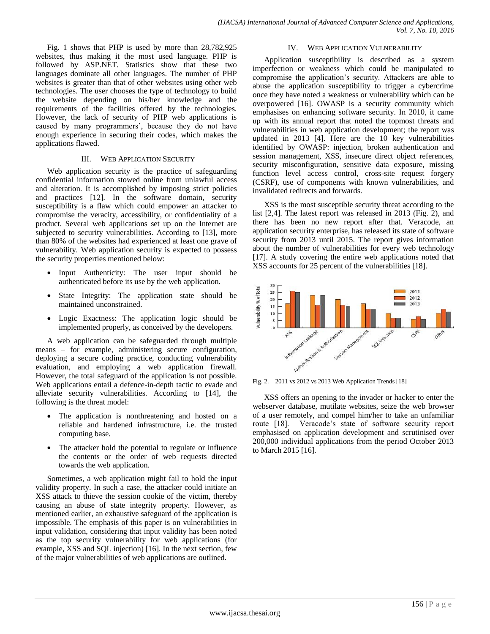Fig. 1 shows that PHP is used by more than 28,782,925 websites, thus making it the most used language. PHP is followed by ASP.NET. Statistics show that these two languages dominate all other languages. The number of PHP websites is greater than that of other websites using other web technologies. The user chooses the type of technology to build the website depending on his/her knowledge and the requirements of the facilities offered by the technologies. However, the lack of security of PHP web applications is caused by many programmers', because they do not have enough experience in securing their codes, which makes the applications flawed.

#### III. WEB APPLICATION SECURITY

Web application security is the practice of safeguarding confidential information stowed online from unlawful access and alteration. It is accomplished by imposing strict policies and practices [12]. In the software domain, security susceptibility is a flaw which could empower an attacker to compromise the veracity, accessibility, or confidentiality of a product. Several web applications set up on the Internet are subjected to security vulnerabilities. According to [13], more than 80% of the websites had experienced at least one grave of vulnerability. Web application security is expected to possess the security properties mentioned below:

- Input Authenticity: The user input should be authenticated before its use by the web application.
- State Integrity: The application state should be maintained unconstrained.
- Logic Exactness: The application logic should be implemented properly, as conceived by the developers.

A web application can be safeguarded through multiple means – for example, administering secure configuration, deploying a secure coding practice, conducting vulnerability evaluation, and employing a web application firewall. However, the total safeguard of the application is not possible. Web applications entail a defence-in-depth tactic to evade and alleviate security vulnerabilities. According to [14], the following is the threat model:

- The application is nonthreatening and hosted on a reliable and hardened infrastructure, i.e. the trusted computing base.
- The attacker hold the potential to regulate or influence the contents or the order of web requests directed towards the web application.

Sometimes, a web application might fail to hold the input validity property. In such a case, the attacker could initiate an XSS attack to thieve the session cookie of the victim, thereby causing an abuse of state integrity property. However, as mentioned earlier, an exhaustive safeguard of the application is impossible. The emphasis of this paper is on vulnerabilities in input validation, considering that input validity has been noted as the top security vulnerability for web applications (for example, XSS and SQL injection) [16]. In the next section, few of the major vulnerabilities of web applications are outlined.

#### IV. WEB APPLICATION VULNERABILITY

Application susceptibility is described as a system imperfection or weakness which could be manipulated to compromise the application's security. Attackers are able to abuse the application susceptibility to trigger a cybercrime once they have noted a weakness or vulnerability which can be overpowered [16]. OWASP is a security community which emphasises on enhancing software security. In 2010, it came up with its annual report that noted the topmost threats and vulnerabilities in web application development; the report was updated in 2013 [4]. Here are the 10 key vulnerabilities identified by OWASP: injection, broken authentication and session management, XSS, insecure direct object references, security misconfiguration, sensitive data exposure, missing function level access control, cross-site request forgery (CSRF), use of components with known vulnerabilities, and invalidated redirects and forwards.

XSS is the most susceptible security threat according to the list [2,4]. The latest report was released in 2013 (Fig. 2), and there has been no new report after that. Veracode, an application security enterprise, has released its state of software security from 2013 until 2015. The report gives information about the number of vulnerabilities for every web technology [17]. A study covering the entire web applications noted that XSS accounts for 25 percent of the vulnerabilities [18].



Fig. 2. 2011 vs 2012 vs 2013 Web Application Trends [18]

XSS offers an opening to the invader or hacker to enter the webserver database, mutilate websites, seize the web browser of a user remotely, and compel him/her to take an unfamiliar route [18]. Veracode's state of software security report emphasised on application development and scrutinised over 200,000 individual applications from the period October 2013 to March 2015 [16].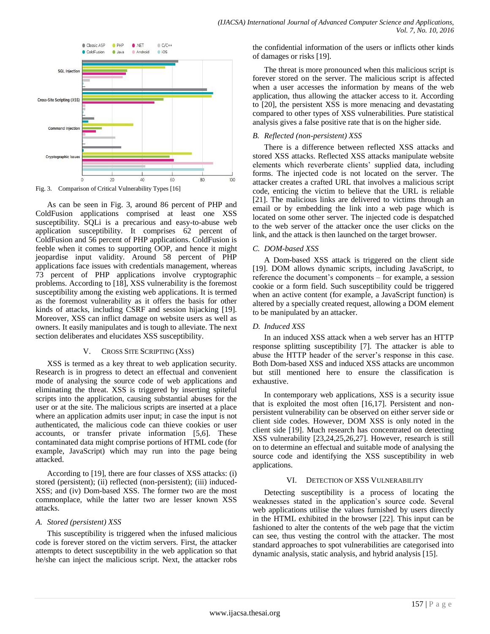

Fig. 3. Comparison of Critical Vulnerability Types [16]

As can be seen in Fig. 3, around 86 percent of PHP and ColdFusion applications comprised at least one XSS susceptibility. SQLi is a precarious and easy-to-abuse web application susceptibility. It comprises 62 percent of ColdFusion and 56 percent of PHP applications. ColdFusion is feeble when it comes to supporting OOP, and hence it might jeopardise input validity. Around 58 percent of PHP applications face issues with credentials management, whereas 73 percent of PHP applications involve cryptographic problems. According to [18], XSS vulnerability is the foremost susceptibility among the existing web applications. It is termed as the foremost vulnerability as it offers the basis for other kinds of attacks, including CSRF and session hijacking [19]. Moreover, XSS can inflict damage on website users as well as owners. It easily manipulates and is tough to alleviate. The next section deliberates and elucidates XSS susceptibility.

#### V. CROSS SITE SCRIPTING (XSS)

XSS is termed as a key threat to web application security. Research is in progress to detect an effectual and convenient mode of analysing the source code of web applications and eliminating the threat. XSS is triggered by inserting spiteful scripts into the application, causing substantial abuses for the user or at the site. The malicious scripts are inserted at a place where an application admits user input; in case the input is not authenticated, the malicious code can thieve cookies or user accounts, or transfer private information [5,6]. These contaminated data might comprise portions of HTML code (for example, JavaScript) which may run into the page being attacked.

According to [19], there are four classes of XSS attacks: (i) stored (persistent); (ii) reflected (non-persistent); (iii) induced-XSS; and (iv) Dom-based XSS. The former two are the most commonplace, while the latter two are lesser known XSS attacks.

## *A. Stored (persistent) XSS*

This susceptibility is triggered when the infused malicious code is forever stored on the victim servers. First, the attacker attempts to detect susceptibility in the web application so that he/she can inject the malicious script. Next, the attacker robs the confidential information of the users or inflicts other kinds of damages or risks [19].

The threat is more pronounced when this malicious script is forever stored on the server. The malicious script is affected when a user accesses the information by means of the web application, thus allowing the attacker access to it. According to [20], the persistent XSS is more menacing and devastating compared to other types of XSS vulnerabilities. Pure statistical analysis gives a false positive rate that is on the higher side.

## *B. Reflected (non-persistent) XSS*

There is a difference between reflected XSS attacks and stored XSS attacks. Reflected XSS attacks manipulate website elements which reverberate clients' supplied data, including forms. The injected code is not located on the server. The attacker creates a crafted URL that involves a malicious script code, enticing the victim to believe that the URL is reliable [21]. The malicious links are delivered to victims through an email or by embedding the link into a web page which is located on some other server. The injected code is despatched to the web server of the attacker once the user clicks on the link, and the attack is then launched on the target browser.

## *C. DOM-based XSS*

A Dom-based XSS attack is triggered on the client side [19]. DOM allows dynamic scripts, including JavaScript, to reference the document's components – for example, a session cookie or a form field. Such susceptibility could be triggered when an active content (for example, a JavaScript function) is altered by a specially created request, allowing a DOM element to be manipulated by an attacker.

## *D. Induced XSS*

In an induced XSS attack when a web server has an HTTP response splitting susceptibility [7]. The attacker is able to abuse the HTTP header of the server's response in this case. Both Dom-based XSS and induced XSS attacks are uncommon but still mentioned here to ensure the classification is exhaustive.

In contemporary web applications, XSS is a security issue that is exploited the most often [16,17]. Persistent and nonpersistent vulnerability can be observed on either server side or client side codes. However, DOM XSS is only noted in the client side [19]. Much research has concentrated on detecting XSS vulnerability [23,24,25,26,27]. However, research is still on to determine an effectual and suitable mode of analysing the source code and identifying the XSS susceptibility in web applications.

## VI. DETECTION OF XSS VULNERABILITY

Detecting susceptibility is a process of locating the weaknesses stated in the application's source code. Several web applications utilise the values furnished by users directly in the HTML exhibited in the browser [22]. This input can be fashioned to alter the contents of the web page that the victim can see, thus vesting the control with the attacker. The most standard approaches to spot vulnerabilities are categorised into dynamic analysis, static analysis, and hybrid analysis [15].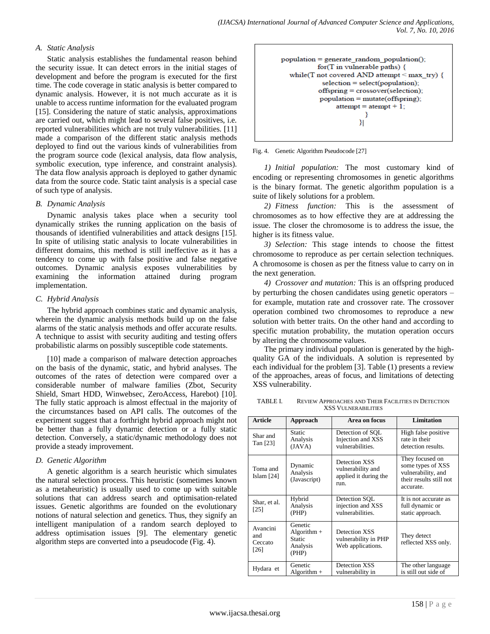## *A. Static Analysis*

Static analysis establishes the fundamental reason behind the security issue. It can detect errors in the initial stages of development and before the program is executed for the first time. The code coverage in static analysis is better compared to dynamic analysis. However, it is not much accurate as it is unable to access runtime information for the evaluated program [15]. Considering the nature of static analysis, approximations are carried out, which might lead to several false positives, i.e. reported vulnerabilities which are not truly vulnerabilities. [11] made a comparison of the different static analysis methods deployed to find out the various kinds of vulnerabilities from the program source code (lexical analysis, data flow analysis, symbolic execution, type inference, and constraint analysis). The data flow analysis approach is deployed to gather dynamic data from the source code. Static taint analysis is a special case of such type of analysis.

#### *B. Dynamic Analysis*

Dynamic analysis takes place when a security tool dynamically strikes the running application on the basis of thousands of identified vulnerabilities and attack designs [15]. In spite of utilising static analysis to locate vulnerabilities in different domains, this method is still ineffective as it has a tendency to come up with false positive and false negative outcomes. Dynamic analysis exposes vulnerabilities by examining the information attained during program implementation.

#### *C. Hybrid Analysis*

The hybrid approach combines static and dynamic analysis, wherein the dynamic analysis methods build up on the false alarms of the static analysis methods and offer accurate results. A technique to assist with security auditing and testing offers probabilistic alarms on possibly susceptible code statements.

[10] made a comparison of malware detection approaches on the basis of the dynamic, static, and hybrid analyses. The outcomes of the rates of detection were compared over a considerable number of malware families (Zbot, Security Shield, Smart HDD, Winwebsec, ZeroAccess, Harebot) [10]. The fully static approach is almost effectual in the majority of the circumstances based on API calls. The outcomes of the experiment suggest that a forthright hybrid approach might not be better than a fully dynamic detection or a fully static detection. Conversely, a static/dynamic methodology does not provide a steady improvement.

#### *D. Genetic Algorithm*

A genetic algorithm is a search heuristic which simulates the natural selection process. This heuristic (sometimes known as a metaheuristic) is usually used to come up with suitable solutions that can address search and optimisation-related issues. Genetic algorithms are founded on the evolutionary notions of natural selection and genetics. Thus, they signify an intelligent manipulation of a random search deployed to address optimisation issues [9]. The elementary genetic algorithm steps are converted into a pseudocode (Fig. 4).



Fig. 4. Genetic Algorithm Pseudocode [27]

*1) Initial population:* The most customary kind of encoding or representing chromosomes in genetic algorithms is the binary format. The genetic algorithm population is a suite of likely solutions for a problem.

*2) Fitness function:* This is the assessment of chromosomes as to how effective they are at addressing the issue. The closer the chromosome is to address the issue, the higher is its fitness value.

*3) Selection:* This stage intends to choose the fittest chromosome to reproduce as per certain selection techniques. A chromosome is chosen as per the fitness value to carry on in the next generation.

*4) Crossover and mutation:* This is an offspring produced by perturbing the chosen candidates using genetic operators – for example, mutation rate and crossover rate. The crossover operation combined two chromosomes to reproduce a new solution with better traits. On the other hand and according to specific mutation probability, the mutation operation occurs by altering the chromosome values.

The primary individual population is generated by the highquality GA of the individuals. A solution is represented by each individual for the problem [3]. Table (1) presents a review of the approaches, areas of focus, and limitations of detecting XSS vulnerability.

TABLE I. REVIEW APPROACHES AND THEIR FACILITIES IN DETECTION XSS VULNERABILITIES

| <b>Article</b>                     | Approach                                                | Area on focus                                                       | Limitation                                                                                         |  |
|------------------------------------|---------------------------------------------------------|---------------------------------------------------------------------|----------------------------------------------------------------------------------------------------|--|
| Shar and<br>Tan [23]               | Static<br>Analysis<br>(JAVA)                            | Detection of SQL<br>Injection and XSS<br>vulnerabilities.           | High false positive<br>rate in their<br>detection results.                                         |  |
| Toma and<br>Islam $[24]$           | Dynamic<br>Analysis<br>(Javascript)                     | Detection XSS<br>vulnerability and<br>applied it during the<br>run. | They focused on<br>some types of XSS<br>vulnerability, and<br>their results still not<br>accurate. |  |
| Shar, et al.<br>[25]               | Hybrid<br>Analysis<br>(PHP)                             | Detection SQL<br>injection and XSS<br>vulnerabilities.              | It is not accurate as<br>full dynamic or<br>static approach.                                       |  |
| Avancini<br>and<br>Ceccato<br>[26] | Genetic<br>Algorithm $+$<br>Static<br>Analysis<br>(PHP) | Detection XSS<br>vulnerability in PHP<br>Web applications.          | They detect<br>reflected XSS only.                                                                 |  |
| Hydara et                          | Genetic<br>Algorithm $+$                                | Detection XSS<br>vulnerability in                                   | The other language<br>is still out side of                                                         |  |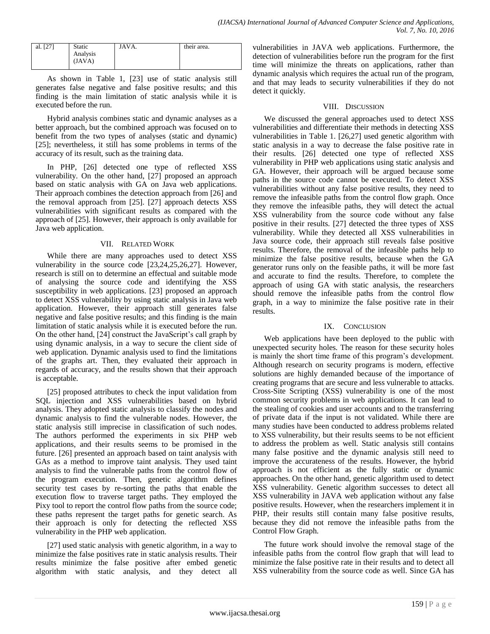| al. [27] | <b>Static</b>      | JAVA. | their area. |
|----------|--------------------|-------|-------------|
|          | Analysis<br>(JAVA) |       |             |
|          |                    |       |             |

As shown in Table 1, [23] use of static analysis still generates false negative and false positive results; and this finding is the main limitation of static analysis while it is executed before the run.

Hybrid analysis combines static and dynamic analyses as a better approach, but the combined approach was focused on to benefit from the two types of analyses (static and dynamic) [25]; nevertheless, it still has some problems in terms of the accuracy of its result, such as the training data.

In PHP, [26] detected one type of reflected XSS vulnerability. On the other hand, [27] proposed an approach based on static analysis with GA on Java web applications. Their approach combines the detection approach from [26] and the removal approach from [25]. [27] approach detects XSS vulnerabilities with significant results as compared with the approach of [25]. However, their approach is only available for Java web application.

## VII. RELATED WORK

While there are many approaches used to detect XSS vulnerability in the source code [23,24,25,26,27]. However, research is still on to determine an effectual and suitable mode of analysing the source code and identifying the XSS susceptibility in web applications. [23] proposed an approach to detect XSS vulnerability by using static analysis in Java web application. However, their approach still generates false negative and false positive results; and this finding is the main limitation of static analysis while it is executed before the run. On the other hand, [24] construct the JavaScript's call graph by using dynamic analysis, in a way to secure the client side of web application. Dynamic analysis used to find the limitations of the graphs art. Then, they evaluated their approach in regards of accuracy, and the results shown that their approach is acceptable.

[25] proposed attributes to check the input validation from SQL injection and XSS vulnerabilities based on hybrid analysis. They adopted static analysis to classify the nodes and dynamic analysis to find the vulnerable nodes. However, the static analysis still imprecise in classification of such nodes. The authors performed the experiments in six PHP web applications, and their results seems to be promised in the future. [26] presented an approach based on taint analysis with GAs as a method to improve taint analysis. They used taint analysis to find the vulnerable paths from the control flow of the program execution. Then, genetic algorithm defines security test cases by re-sorting the paths that enable the execution flow to traverse target paths. They employed the Pixy tool to report the control flow paths from the source code; these paths represent the target paths for genetic search. As their approach is only for detecting the reflected XSS vulnerability in the PHP web application.

[27] used static analysis with genetic algorithm, in a way to minimize the false positives rate in static analysis results. Their results minimize the false positive after embed genetic algorithm with static analysis, and they detect all vulnerabilities in JAVA web applications. Furthermore, the detection of vulnerabilities before run the program for the first time will minimize the threats on applications, rather than dynamic analysis which requires the actual run of the program, and that may leads to security vulnerabilities if they do not detect it quickly.

## VIII. DISCUSSION

We discussed the general approaches used to detect XSS vulnerabilities and differentiate their methods in detecting XSS vulnerabilities in Table 1. [26,27] used genetic algorithm with static analysis in a way to decrease the false positive rate in their results. [26] detected one type of reflected XSS vulnerability in PHP web applications using static analysis and GA. However, their approach will be argued because some paths in the source code cannot be executed. To detect XSS vulnerabilities without any false positive results, they need to remove the infeasible paths from the control flow graph. Once they remove the infeasible paths, they will detect the actual XSS vulnerability from the source code without any false positive in their results. [27] detected the three types of XSS vulnerability. While they detected all XSS vulnerabilities in Java source code, their approach still reveals false positive results. Therefore, the removal of the infeasible paths help to minimize the false positive results, because when the GA generator runs only on the feasible paths, it will be more fast and accurate to find the results. Therefore, to complete the approach of using GA with static analysis, the researchers should remove the infeasible paths from the control flow graph, in a way to minimize the false positive rate in their results.

## IX. CONCLUSION

Web applications have been deployed to the public with unexpected security holes. The reason for these security holes is mainly the short time frame of this program's development. Although research on security programs is modern, effective solutions are highly demanded because of the importance of creating programs that are secure and less vulnerable to attacks. Cross-Site Scripting (XSS) vulnerability is one of the most common security problems in web applications. It can lead to the stealing of cookies and user accounts and to the transferring of private data if the input is not validated. While there are many studies have been conducted to address problems related to XSS vulnerability, but their results seems to be not efficient to address the problem as well. Static analysis still contains many false positive and the dynamic analysis still need to improve the accurateness of the results. However, the hybrid approach is not efficient as the fully static or dynamic approaches. On the other hand, genetic algorithm used to detect XSS vulnerability. Genetic algorithm successes to detect all XSS vulnerability in JAVA web application without any false positive results. However, when the researchers implement it in PHP, their results still contain many false positive results, because they did not remove the infeasible paths from the Control Flow Graph.

The future work should involve the removal stage of the infeasible paths from the control flow graph that will lead to minimize the false positive rate in their results and to detect all XSS vulnerability from the source code as well. Since GA has